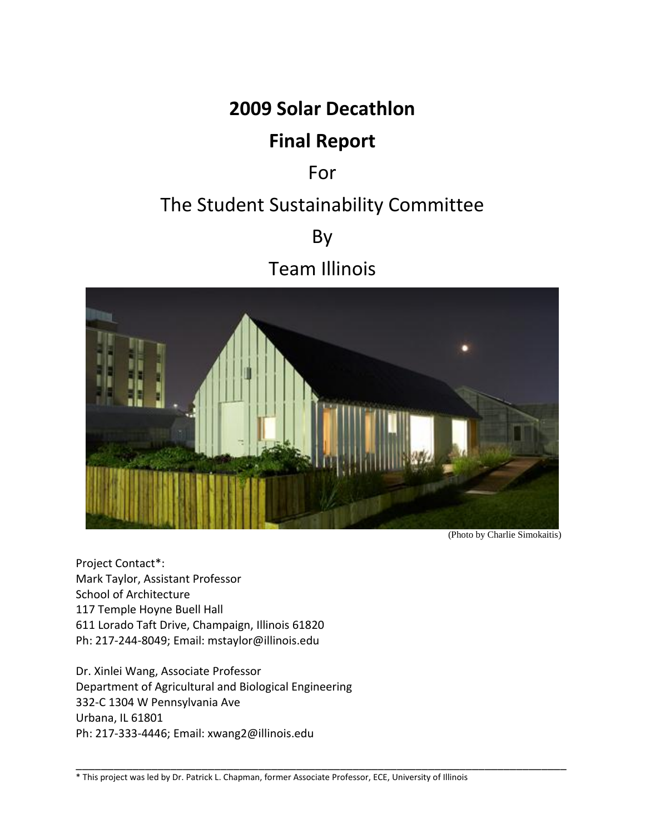## **2009 Solar Decathlon**

# **Final Report**

## For

# The Student Sustainability Committee

By

Team Illinois



(Photo by Charlie Simokaitis)

Project Contact\*: Mark Taylor, Assistant Professor School of Architecture 117 Temple Hoyne Buell Hall 611 Lorado Taft Drive, Champaign, Illinois 61820 Ph: 217-244-8049; Email: mstaylor@illinois.edu

Dr. Xinlei Wang, Associate Professor Department of Agricultural and Biological Engineering 332-C 1304 W Pennsylvania Ave Urbana, IL 61801 Ph: 217-333-4446; Email: xwang2@illinois.edu

\_\_\_\_\_\_\_\_\_\_\_\_\_\_\_\_\_\_\_\_\_\_\_\_\_\_\_\_\_\_\_\_\_\_\_\_\_\_\_\_\_\_\_\_\_\_\_\_\_\_\_\_\_\_\_\_\_\_\_\_\_\_\_\_\_\_\_\_\_\_\_\_\_\_\_\_\_\_ \* This project was led by Dr. Patrick L. Chapman, former Associate Professor, ECE, University of Illinois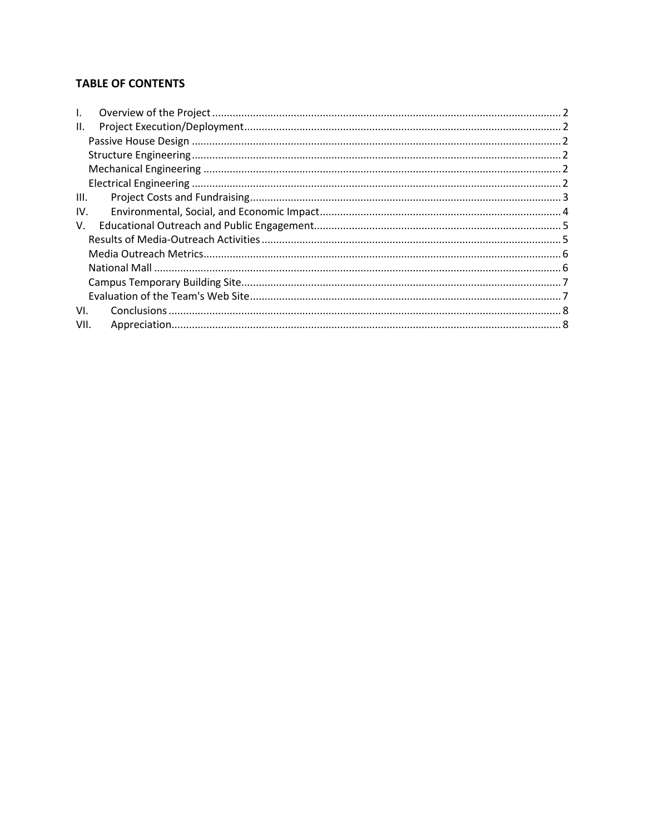## <span id="page-1-0"></span>**TABLE OF CONTENTS**

| $\mathbf{L}$ |  |
|--------------|--|
| II.          |  |
|              |  |
|              |  |
|              |  |
|              |  |
| III.         |  |
| IV.          |  |
| V.           |  |
|              |  |
|              |  |
|              |  |
|              |  |
|              |  |
| VI.          |  |
| VII.         |  |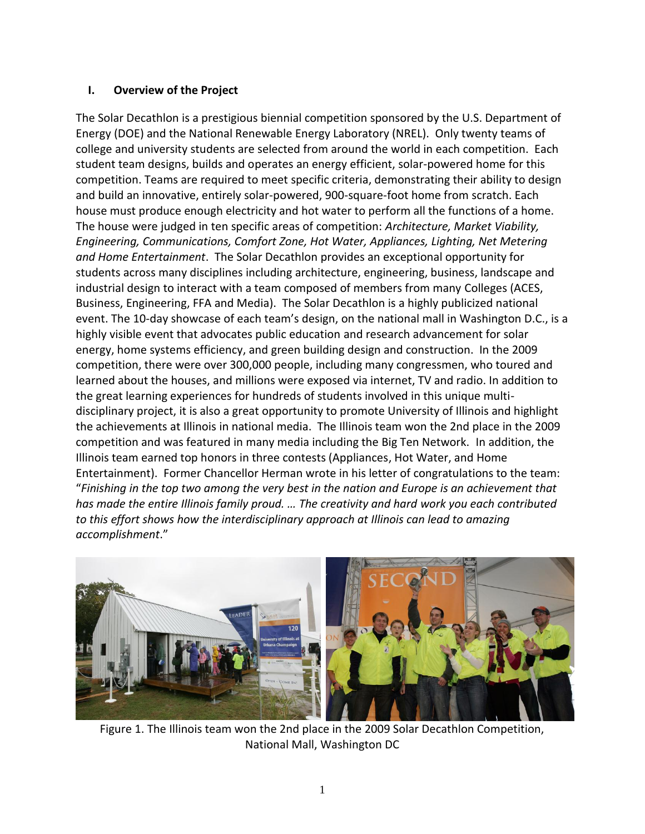## **I. Overview of the Project**

The Solar Decathlon is a prestigious biennial competition sponsored by the U.S. Department of Energy (DOE) and the National Renewable Energy Laboratory (NREL). Only twenty teams of college and university students are selected from around the world in each competition. Each student team designs, builds and operates an energy efficient, solar-powered home for this competition. Teams are required to meet specific criteria, demonstrating their ability to design and build an innovative, entirely solar-powered, 900-square-foot home from scratch. Each house must produce enough electricity and hot water to perform all the functions of a home. The house were judged in ten specific areas of competition: *Architecture, Market Viability, Engineering, Communications, Comfort Zone, Hot Water, Appliances, Lighting, Net Metering and Home Entertainment*. The Solar Decathlon provides an exceptional opportunity for students across many disciplines including architecture, engineering, business, landscape and industrial design to interact with a team composed of members from many Colleges (ACES, Business, Engineering, FFA and Media). The Solar Decathlon is a highly publicized national event. The 10-day showcase of each team's design, on the national mall in Washington D.C., is a highly visible event that advocates public education and research advancement for solar energy, home systems efficiency, and green building design and construction. In the 2009 competition, there were over 300,000 people, including many congressmen, who toured and learned about the houses, and millions were exposed via internet, TV and radio. In addition to the great learning experiences for hundreds of students involved in this unique multidisciplinary project, it is also a great opportunity to promote University of Illinois and highlight the achievements at Illinois in national media. The Illinois team won the 2nd place in the 2009 competition and was featured in many media including the Big Ten Network. In addition, the Illinois team earned top honors in three contests (Appliances, Hot Water, and Home Entertainment). Former Chancellor Herman wrote in his letter of congratulations to the team: "*Finishing in the top two among the very best in the nation and Europe is an achievement that has made the entire Illinois family proud. … The creativity and hard work you each contributed to this effort shows how the interdisciplinary approach at Illinois can lead to amazing accomplishment*."



Figure 1. The Illinois team won the 2nd place in the 2009 Solar Decathlon Competition, National Mall, Washington DC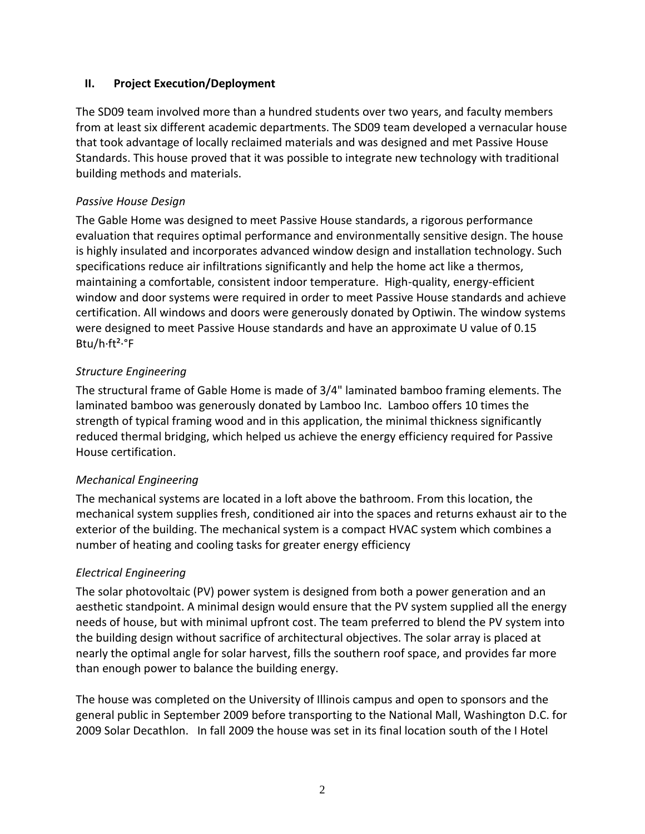#### <span id="page-3-0"></span>**II. Project Execution/Deployment**

The SD09 team involved more than a hundred students over two years, and faculty members from at least six different academic departments. The SD09 team developed a vernacular house that took advantage of locally reclaimed materials and was designed and met Passive House Standards. This house proved that it was possible to integrate new technology with traditional building methods and materials.

#### <span id="page-3-1"></span>*Passive House Design*

The Gable Home was designed to meet Passive House standards, a rigorous performance evaluation that requires optimal performance and environmentally sensitive design. The house is highly insulated and incorporates advanced window design and installation technology. Such specifications reduce air infiltrations significantly and help the home act like a thermos, maintaining a comfortable, consistent indoor temperature. High-quality, energy-efficient window and door systems were required in order to meet Passive House standards and achieve certification. All windows and doors were generously donated by Optiwin. The window systems were designed to meet Passive House standards and have an approximate U value of 0.15 Btu/h·ft²·°F

## <span id="page-3-2"></span>*Structure Engineering*

The structural frame of Gable Home is made of 3/4" laminated bamboo framing elements. The laminated bamboo was generously donated by Lamboo Inc. Lamboo offers 10 times the strength of typical framing wood and in this application, the minimal thickness significantly reduced thermal bridging, which helped us achieve the energy efficiency required for Passive House certification.

## <span id="page-3-3"></span>*Mechanical Engineering*

The mechanical systems are located in a loft above the bathroom. From this location, the mechanical system supplies fresh, conditioned air into the spaces and returns exhaust air to the exterior of the building. The mechanical system is a compact HVAC system which combines a number of heating and cooling tasks for greater energy efficiency

## <span id="page-3-4"></span>*Electrical Engineering*

The solar photovoltaic (PV) power system is designed from both a power generation and an aesthetic standpoint. A minimal design would ensure that the PV system supplied all the energy needs of house, but with minimal upfront cost. The team preferred to blend the PV system into the building design without sacrifice of architectural objectives. The solar array is placed at nearly the optimal angle for solar harvest, fills the southern roof space, and provides far more than enough power to balance the building energy.

The house was completed on the University of Illinois campus and open to sponsors and the general public in September 2009 before transporting to the National Mall, Washington D.C. for 2009 Solar Decathlon. In fall 2009 the house was set in its final location south of the I Hotel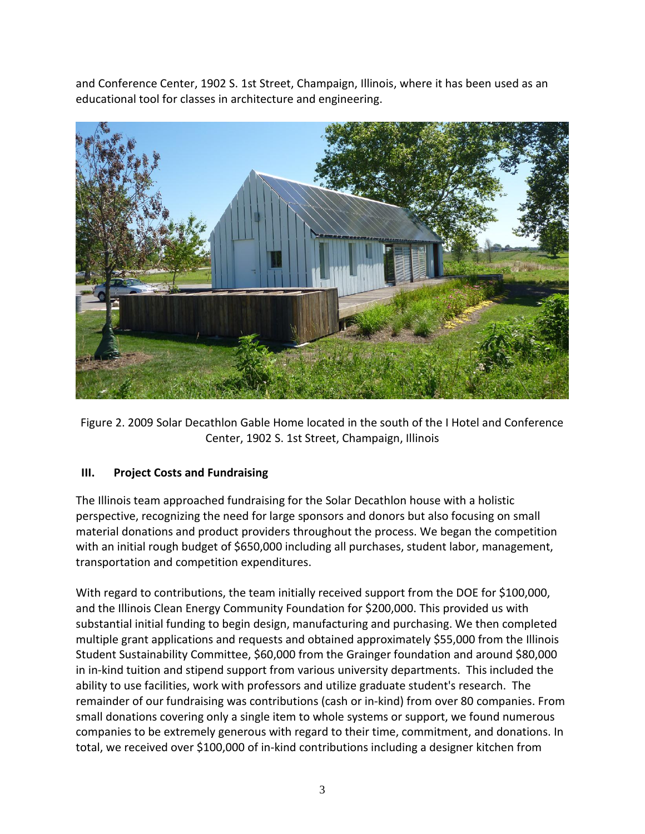and Conference Center, 1902 S. 1st Street, Champaign, Illinois, where it has been used as an educational tool for classes in architecture and engineering.



Figure 2. 2009 Solar Decathlon Gable Home located in the south of the I Hotel and Conference Center, 1902 S. 1st Street, Champaign, Illinois

## <span id="page-4-0"></span>**III. Project Costs and Fundraising**

The Illinois team approached fundraising for the Solar Decathlon house with a holistic perspective, recognizing the need for large sponsors and donors but also focusing on small material donations and product providers throughout the process. We began the competition with an initial rough budget of \$650,000 including all purchases, student labor, management, transportation and competition expenditures.

With regard to contributions, the team initially received support from the DOE for \$100,000, and the Illinois Clean Energy Community Foundation for \$200,000. This provided us with substantial initial funding to begin design, manufacturing and purchasing. We then completed multiple grant applications and requests and obtained approximately \$55,000 from the Illinois Student Sustainability Committee, \$60,000 from the Grainger foundation and around \$80,000 in in-kind tuition and stipend support from various university departments. This included the ability to use facilities, work with professors and utilize graduate student's research. The remainder of our fundraising was contributions (cash or in‐kind) from over 80 companies. From small donations covering only a single item to whole systems or support, we found numerous companies to be extremely generous with regard to their time, commitment, and donations. In total, we received over \$100,000 of in‐kind contributions including a designer kitchen from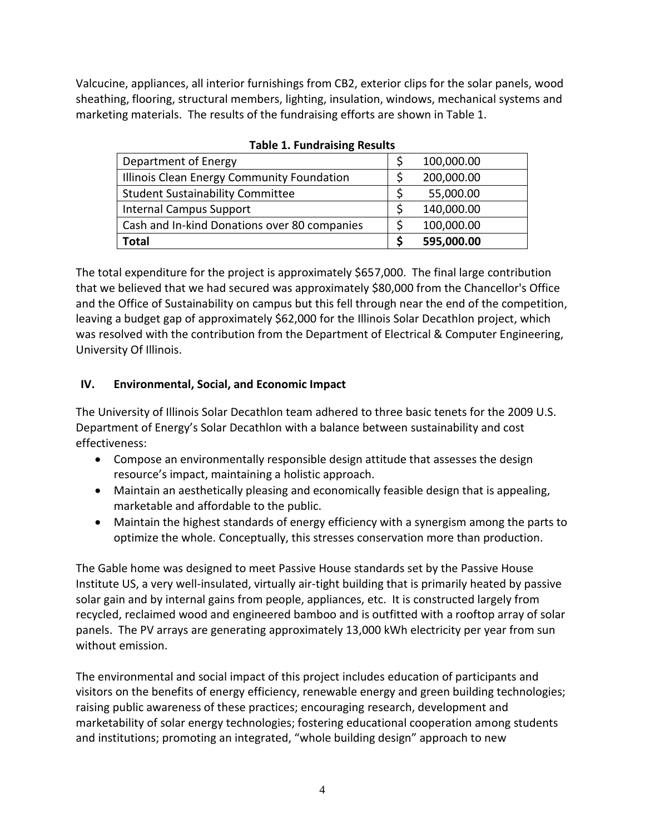Valcucine, appliances, all interior furnishings from CB2, exterior clips for the solar panels, wood sheathing, flooring, structural members, lighting, insulation, windows, mechanical systems and marketing materials. The results of the fundraising efforts are shown in Table 1.

| Department of Energy                         | 100,000.00 |
|----------------------------------------------|------------|
| Illinois Clean Energy Community Foundation   | 200,000.00 |
| <b>Student Sustainability Committee</b>      | 55,000.00  |
| <b>Internal Campus Support</b>               | 140,000.00 |
| Cash and In-kind Donations over 80 companies | 100,000.00 |
| <b>Total</b>                                 | 595,000.00 |

**Table 1. Fundraising Results**

The total expenditure for the project is approximately \$657,000. The final large contribution that we believed that we had secured was approximately \$80,000 from the Chancellor's Office and the Office of Sustainability on campus but this fell through near the end of the competition, leaving a budget gap of approximately \$62,000 for the Illinois Solar Decathlon project, which was resolved with the contribution from the Department of Electrical & Computer Engineering, University Of Illinois.

## <span id="page-5-0"></span>**IV. Environmental, Social, and Economic Impact**

The University of Illinois Solar Decathlon team adhered to three basic tenets for the 2009 U.S. Department of Energy's Solar Decathlon with a balance between sustainability and cost effectiveness:

- Compose an environmentally responsible design attitude that assesses the design resource's impact, maintaining a holistic approach.
- Maintain an aesthetically pleasing and economically feasible design that is appealing, marketable and affordable to the public.
- Maintain the highest standards of energy efficiency with a synergism among the parts to optimize the whole. Conceptually, this stresses conservation more than production.

The Gable home was designed to meet Passive House standards set by the Passive House Institute US, a very well-insulated, virtually air-tight building that is primarily heated by passive solar gain and by internal gains from people, appliances, etc. It is constructed largely from recycled, reclaimed wood and engineered bamboo and is outfitted with a rooftop array of solar panels. The PV arrays are generating approximately 13,000 kWh electricity per year from sun without emission.

The environmental and social impact of this project includes education of participants and visitors on the benefits of energy efficiency, renewable energy and green building technologies; raising public awareness of these practices; encouraging research, development and marketability of solar energy technologies; fostering educational cooperation among students and institutions; promoting an integrated, "whole building design" approach to new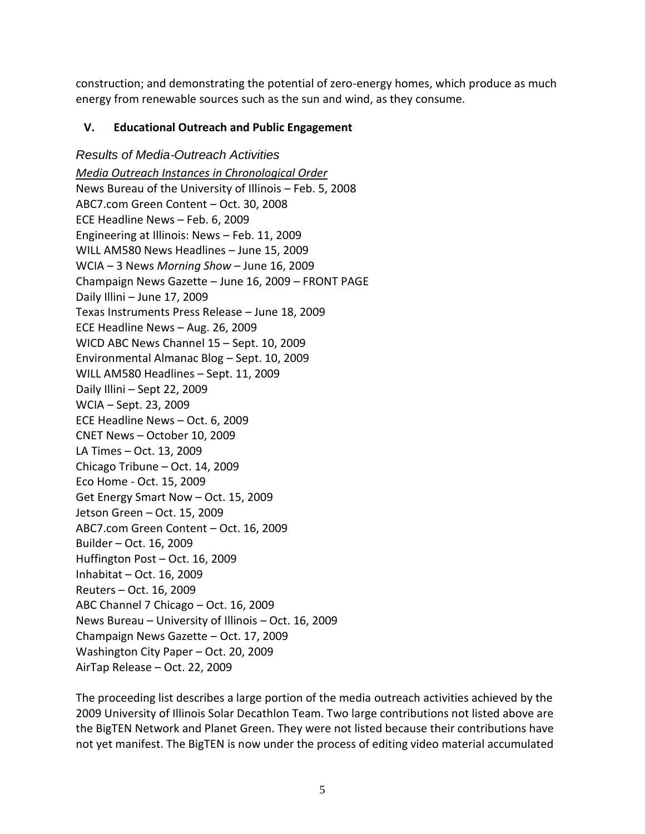construction; and demonstrating the potential of zero-energy homes, which produce as much energy from renewable sources such as the sun and wind, as they consume.

## <span id="page-6-0"></span>**V. Educational Outreach and Public Engagement**

<span id="page-6-1"></span>*Results of Media*‐*Outreach Activities Media Outreach Instances in Chronological Order* News Bureau of the University of Illinois – Feb. 5, 2008 ABC7.com Green Content – Oct. 30, 2008 ECE Headline News – Feb. 6, 2009 Engineering at Illinois: News – Feb. 11, 2009 WILL AM580 News Headlines – June 15, 2009 WCIA – 3 News *Morning Show* – June 16, 2009 Champaign News Gazette – June 16, 2009 – FRONT PAGE Daily Illini – June 17, 2009 Texas Instruments Press Release – June 18, 2009 ECE Headline News – Aug. 26, 2009 WICD ABC News Channel 15 – Sept. 10, 2009 Environmental Almanac Blog – Sept. 10, 2009 WILL AM580 Headlines – Sept. 11, 2009 Daily Illini – Sept 22, 2009 WCIA – Sept. 23, 2009 ECE Headline News – Oct. 6, 2009 CNET News – October 10, 2009 LA Times – Oct. 13, 2009 Chicago Tribune – Oct. 14, 2009 Eco Home ‐ Oct. 15, 2009 Get Energy Smart Now – Oct. 15, 2009 Jetson Green – Oct. 15, 2009 ABC7.com Green Content – Oct. 16, 2009 Builder – Oct. 16, 2009 Huffington Post – Oct. 16, 2009 Inhabitat – Oct. 16, 2009 Reuters – Oct. 16, 2009 ABC Channel 7 Chicago – Oct. 16, 2009 News Bureau – University of Illinois – Oct. 16, 2009 Champaign News Gazette – Oct. 17, 2009 Washington City Paper – Oct. 20, 2009 AirTap Release – Oct. 22, 2009

The proceeding list describes a large portion of the media outreach activities achieved by the 2009 University of Illinois Solar Decathlon Team. Two large contributions not listed above are the BigTEN Network and Planet Green. They were not listed because their contributions have not yet manifest. The BigTEN is now under the process of editing video material accumulated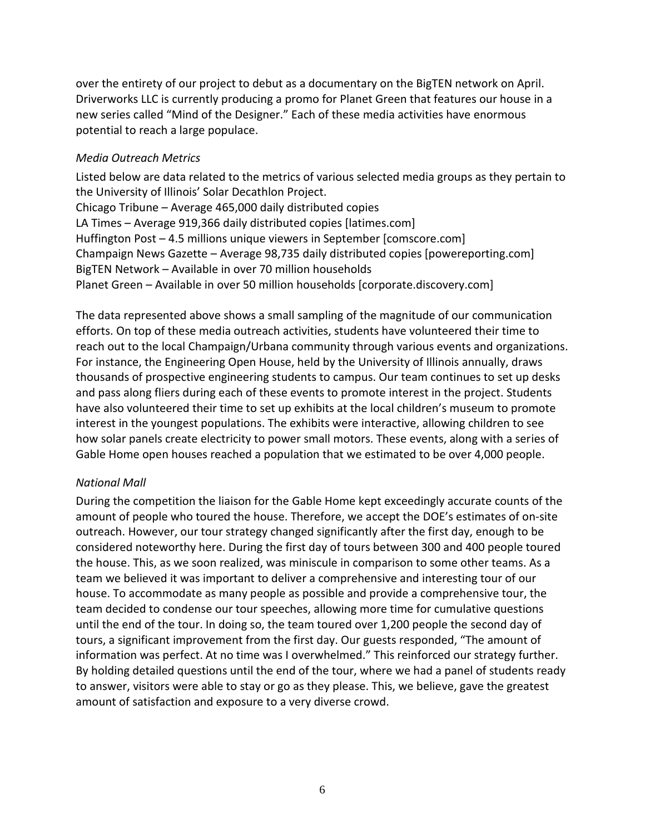over the entirety of our project to debut as a documentary on the BigTEN network on April. Driverworks LLC is currently producing a promo for Planet Green that features our house in a new series called "Mind of the Designer." Each of these media activities have enormous potential to reach a large populace.

#### <span id="page-7-0"></span>*Media Outreach Metrics*

Listed below are data related to the metrics of various selected media groups as they pertain to the University of Illinois' Solar Decathlon Project. Chicago Tribune – Average 465,000 daily distributed copies LA Times – Average 919,366 daily distributed copies [latimes.com] Huffington Post – 4.5 millions unique viewers in September [comscore.com] Champaign News Gazette – Average 98,735 daily distributed copies [powereporting.com] BigTEN Network – Available in over 70 million households Planet Green – Available in over 50 million households [corporate.discovery.com]

The data represented above shows a small sampling of the magnitude of our communication efforts. On top of these media outreach activities, students have volunteered their time to reach out to the local Champaign/Urbana community through various events and organizations. For instance, the Engineering Open House, held by the University of Illinois annually, draws thousands of prospective engineering students to campus. Our team continues to set up desks and pass along fliers during each of these events to promote interest in the project. Students have also volunteered their time to set up exhibits at the local children's museum to promote interest in the youngest populations. The exhibits were interactive, allowing children to see how solar panels create electricity to power small motors. These events, along with a series of Gable Home open houses reached a population that we estimated to be over 4,000 people.

## <span id="page-7-1"></span>*National Mall*

During the competition the liaison for the Gable Home kept exceedingly accurate counts of the amount of people who toured the house. Therefore, we accept the DOE's estimates of on‐site outreach. However, our tour strategy changed significantly after the first day, enough to be considered noteworthy here. During the first day of tours between 300 and 400 people toured the house. This, as we soon realized, was miniscule in comparison to some other teams. As a team we believed it was important to deliver a comprehensive and interesting tour of our house. To accommodate as many people as possible and provide a comprehensive tour, the team decided to condense our tour speeches, allowing more time for cumulative questions until the end of the tour. In doing so, the team toured over 1,200 people the second day of tours, a significant improvement from the first day. Our guests responded, "The amount of information was perfect. At no time was I overwhelmed." This reinforced our strategy further. By holding detailed questions until the end of the tour, where we had a panel of students ready to answer, visitors were able to stay or go as they please. This, we believe, gave the greatest amount of satisfaction and exposure to a very diverse crowd.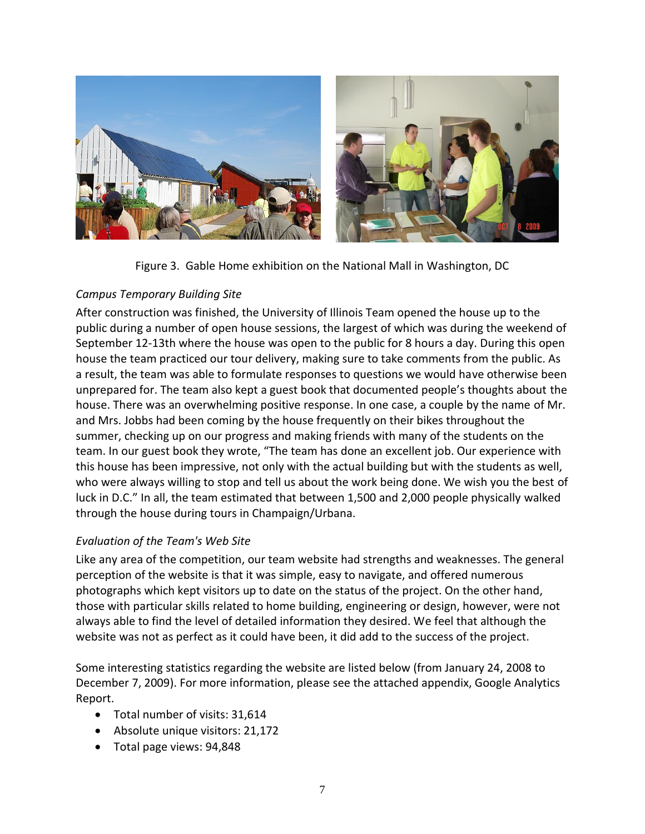

Figure 3. Gable Home exhibition on the National Mall in Washington, DC

## <span id="page-8-0"></span>*Campus Temporary Building Site*

After construction was finished, the University of Illinois Team opened the house up to the public during a number of open house sessions, the largest of which was during the weekend of September 12‐13th where the house was open to the public for 8 hours a day. During this open house the team practiced our tour delivery, making sure to take comments from the public. As a result, the team was able to formulate responses to questions we would have otherwise been unprepared for. The team also kept a guest book that documented people's thoughts about the house. There was an overwhelming positive response. In one case, a couple by the name of Mr. and Mrs. Jobbs had been coming by the house frequently on their bikes throughout the summer, checking up on our progress and making friends with many of the students on the team. In our guest book they wrote, "The team has done an excellent job. Our experience with this house has been impressive, not only with the actual building but with the students as well, who were always willing to stop and tell us about the work being done. We wish you the best of luck in D.C." In all, the team estimated that between 1,500 and 2,000 people physically walked through the house during tours in Champaign/Urbana.

## <span id="page-8-1"></span>*Evaluation of the Team's Web Site*

Like any area of the competition, our team website had strengths and weaknesses. The general perception of the website is that it was simple, easy to navigate, and offered numerous photographs which kept visitors up to date on the status of the project. On the other hand, those with particular skills related to home building, engineering or design, however, were not always able to find the level of detailed information they desired. We feel that although the website was not as perfect as it could have been, it did add to the success of the project.

Some interesting statistics regarding the website are listed below (from January 24, 2008 to December 7, 2009). For more information, please see the attached appendix, Google Analytics Report.

- Total number of visits: 31,614
- Absolute unique visitors: 21,172
- Total page views: 94,848